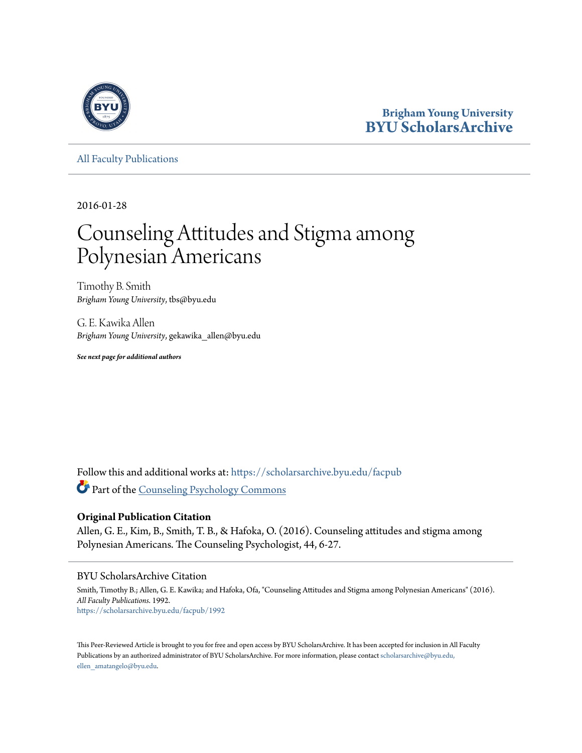

## **Brigham Young University [BYU ScholarsArchive](https://scholarsarchive.byu.edu?utm_source=scholarsarchive.byu.edu%2Ffacpub%2F1992&utm_medium=PDF&utm_campaign=PDFCoverPages)**

[All Faculty Publications](https://scholarsarchive.byu.edu/facpub?utm_source=scholarsarchive.byu.edu%2Ffacpub%2F1992&utm_medium=PDF&utm_campaign=PDFCoverPages)

2016-01-28

# Counseling Attitudes and Stigma among Polynesian Americans

Timothy B. Smith *Brigham Young University*, tbs@byu.edu

G. E. Kawika Allen *Brigham Young University*, gekawika\_allen@byu.edu

*See next page for additional authors*

Follow this and additional works at: [https://scholarsarchive.byu.edu/facpub](https://scholarsarchive.byu.edu/facpub?utm_source=scholarsarchive.byu.edu%2Ffacpub%2F1992&utm_medium=PDF&utm_campaign=PDFCoverPages) Part of the [Counseling Psychology Commons](http://network.bepress.com/hgg/discipline/1044?utm_source=scholarsarchive.byu.edu%2Ffacpub%2F1992&utm_medium=PDF&utm_campaign=PDFCoverPages)

## **Original Publication Citation**

Allen, G. E., Kim, B., Smith, T. B., & Hafoka, O. (2016). Counseling attitudes and stigma among Polynesian Americans. The Counseling Psychologist, 44, 6-27.

## BYU ScholarsArchive Citation

Smith, Timothy B.; Allen, G. E. Kawika; and Hafoka, Ofa, "Counseling Attitudes and Stigma among Polynesian Americans" (2016). *All Faculty Publications*. 1992. [https://scholarsarchive.byu.edu/facpub/1992](https://scholarsarchive.byu.edu/facpub/1992?utm_source=scholarsarchive.byu.edu%2Ffacpub%2F1992&utm_medium=PDF&utm_campaign=PDFCoverPages)

This Peer-Reviewed Article is brought to you for free and open access by BYU ScholarsArchive. It has been accepted for inclusion in All Faculty Publications by an authorized administrator of BYU ScholarsArchive. For more information, please contact [scholarsarchive@byu.edu,](mailto:scholarsarchive@byu.edu,%20ellen_amatangelo@byu.edu) [ellen\\_amatangelo@byu.edu.](mailto:scholarsarchive@byu.edu,%20ellen_amatangelo@byu.edu)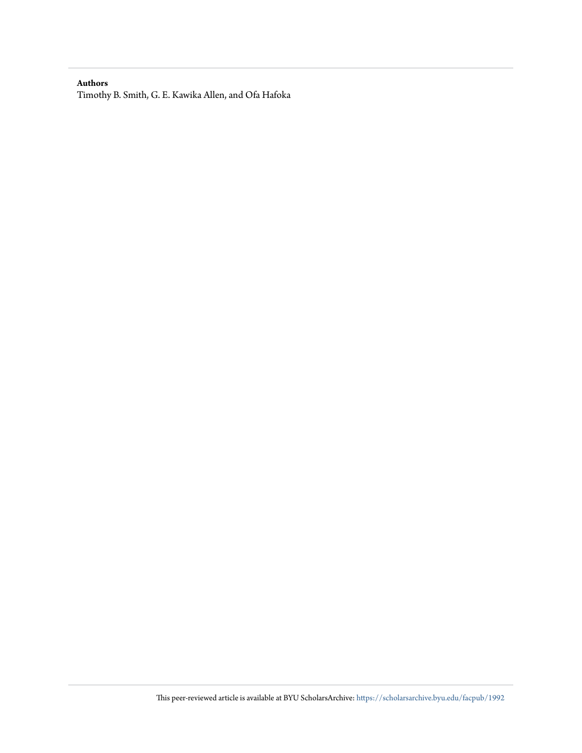## **Authors**

Timothy B. Smith, G. E. Kawika Allen, and Ofa Hafoka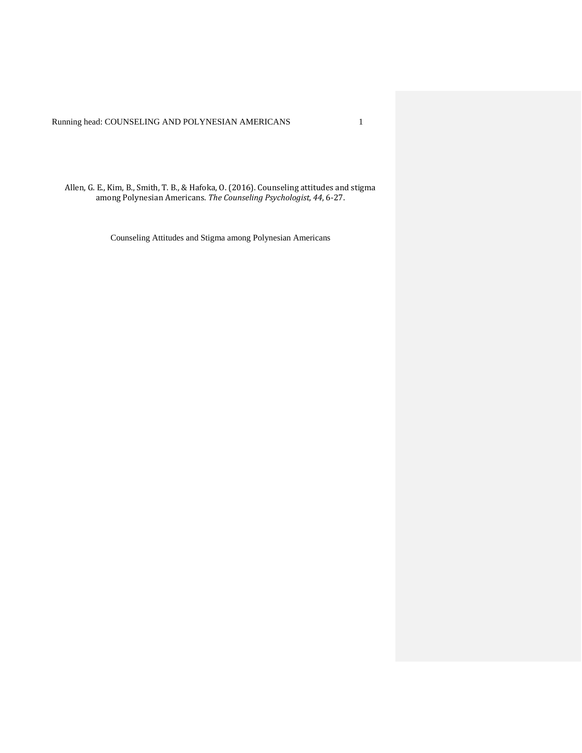Running head: COUNSELING AND POLYNESIAN AMERICANS 1

Allen, G. E., Kim, B., Smith, T. B., & Hafoka, O. (2016). Counseling attitudes and stigma among Polynesian Americans. *The Counseling Psychologist, 44*, 6-27.

Counseling Attitudes and Stigma among Polynesian Americans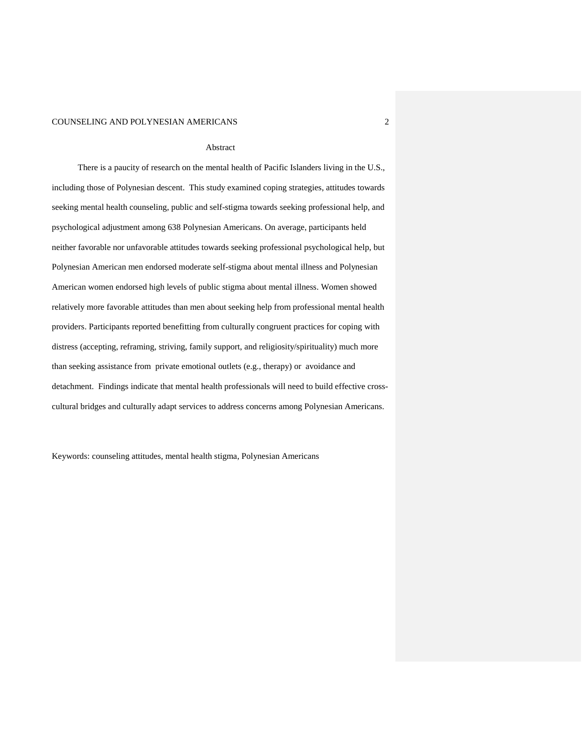#### Abstract

There is a paucity of research on the mental health of Pacific Islanders living in the U.S., including those of Polynesian descent. This study examined coping strategies, attitudes towards seeking mental health counseling, public and self-stigma towards seeking professional help, and psychological adjustment among 638 Polynesian Americans. On average, participants held neither favorable nor unfavorable attitudes towards seeking professional psychological help, but Polynesian American men endorsed moderate self-stigma about mental illness and Polynesian American women endorsed high levels of public stigma about mental illness. Women showed relatively more favorable attitudes than men about seeking help from professional mental health providers. Participants reported benefitting from culturally congruent practices for coping with distress (accepting, reframing, striving, family support, and religiosity/spirituality) much more than seeking assistance from private emotional outlets (e.g., therapy) or avoidance and detachment. Findings indicate that mental health professionals will need to build effective crosscultural bridges and culturally adapt services to address concerns among Polynesian Americans.

Keywords: counseling attitudes, mental health stigma, Polynesian Americans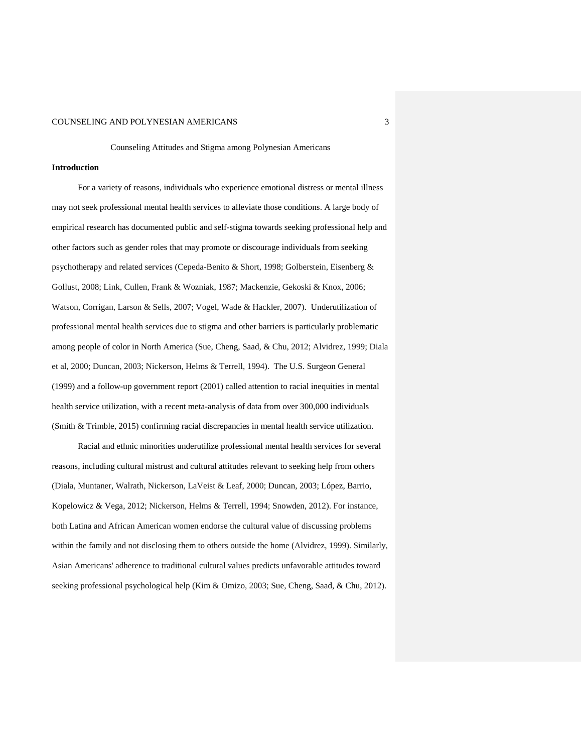Counseling Attitudes and Stigma among Polynesian Americans

#### **Introduction**

For a variety of reasons, individuals who experience emotional distress or mental illness may not seek professional mental health services to alleviate those conditions. A large body of empirical research has documented public and self-stigma towards seeking professional help and other factors such as gender roles that may promote or discourage individuals from seeking psychotherapy and related services (Cepeda-Benito & Short, 1998; Golberstein, Eisenberg & Gollust, 2008; Link, Cullen, Frank & Wozniak, 1987; Mackenzie, Gekoski & Knox, 2006; Watson, Corrigan, Larson & Sells, 2007; Vogel, Wade & Hackler, 2007). Underutilization of professional mental health services due to stigma and other barriers is particularly problematic among people of color in North America (Sue, Cheng, Saad, & Chu, 2012; Alvidrez, 1999; Diala et al, 2000; Duncan, 2003; Nickerson, Helms & Terrell, 1994). The U.S. Surgeon General (1999) and a follow-up government report (2001) called attention to racial inequities in mental health service utilization, with a recent meta-analysis of data from over 300,000 individuals (Smith & Trimble, 2015) confirming racial discrepancies in mental health service utilization.

Racial and ethnic minorities underutilize professional mental health services for several reasons, including cultural mistrust and cultural attitudes relevant to seeking help from others (Diala, Muntaner, Walrath, Nickerson, LaVeist & Leaf, 2000; Duncan, 2003; López, Barrio, Kopelowicz & Vega, 2012; Nickerson, Helms & Terrell, 1994; Snowden, 2012). For instance, both Latina and African American women endorse the cultural value of discussing problems within the family and not disclosing them to others outside the home (Alvidrez, 1999). Similarly, Asian Americans' adherence to traditional cultural values predicts unfavorable attitudes toward seeking professional psychological help (Kim & Omizo, 2003; Sue, Cheng, Saad, & Chu, 2012).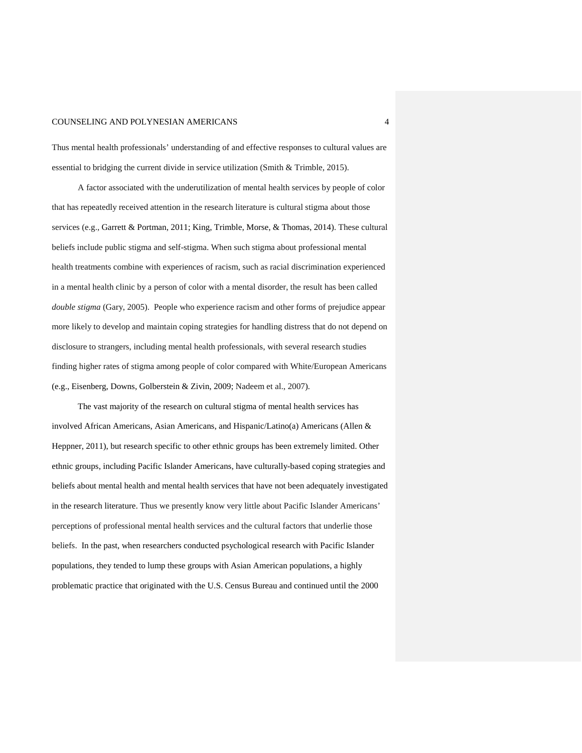Thus mental health professionals' understanding of and effective responses to cultural values are essential to bridging the current divide in service utilization (Smith & Trimble, 2015).

A factor associated with the underutilization of mental health services by people of color that has repeatedly received attention in the research literature is cultural stigma about those services (e.g., Garrett & Portman, 2011; King, Trimble, Morse, & Thomas, 2014). These cultural beliefs include public stigma and self-stigma. When such stigma about professional mental health treatments combine with experiences of racism, such as racial discrimination experienced in a mental health clinic by a person of color with a mental disorder, the result has been called *double stigma* (Gary, 2005). People who experience racism and other forms of prejudice appear more likely to develop and maintain coping strategies for handling distress that do not depend on disclosure to strangers, including mental health professionals, with several research studies finding higher rates of stigma among people of color compared with White/European Americans (e.g., Eisenberg, Downs, Golberstein & Zivin, 2009; Nadeem et al., 2007).

The vast majority of the research on cultural stigma of mental health services has involved African Americans, Asian Americans, and Hispanic/Latino(a) Americans (Allen & Heppner, 2011), but research specific to other ethnic groups has been extremely limited. Other ethnic groups, including Pacific Islander Americans, have culturally-based coping strategies and beliefs about mental health and mental health services that have not been adequately investigated in the research literature. Thus we presently know very little about Pacific Islander Americans' perceptions of professional mental health services and the cultural factors that underlie those beliefs. In the past, when researchers conducted psychological research with Pacific Islander populations, they tended to lump these groups with Asian American populations, a highly problematic practice that originated with the U.S. Census Bureau and continued until the 2000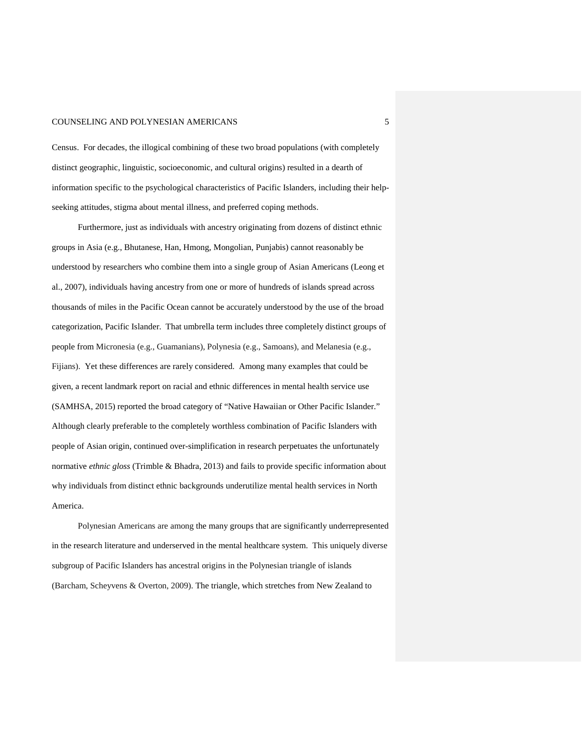Census. For decades, the illogical combining of these two broad populations (with completely distinct geographic, linguistic, socioeconomic, and cultural origins) resulted in a dearth of information specific to the psychological characteristics of Pacific Islanders, including their helpseeking attitudes, stigma about mental illness, and preferred coping methods.

Furthermore, just as individuals with ancestry originating from dozens of distinct ethnic groups in Asia (e.g., Bhutanese, Han, Hmong, Mongolian, Punjabis) cannot reasonably be understood by researchers who combine them into a single group of Asian Americans (Leong et al., 2007), individuals having ancestry from one or more of hundreds of islands spread across thousands of miles in the Pacific Ocean cannot be accurately understood by the use of the broad categorization, Pacific Islander. That umbrella term includes three completely distinct groups of people from Micronesia (e.g., Guamanians), Polynesia (e.g., Samoans), and Melanesia (e.g., Fijians). Yet these differences are rarely considered. Among many examples that could be given, a recent landmark report on racial and ethnic differences in mental health service use (SAMHSA, 2015) reported the broad category of "Native Hawaiian or Other Pacific Islander." Although clearly preferable to the completely worthless combination of Pacific Islanders with people of Asian origin, continued over-simplification in research perpetuates the unfortunately normative *ethnic gloss* (Trimble & Bhadra, 2013) and fails to provide specific information about why individuals from distinct ethnic backgrounds underutilize mental health services in North America.

Polynesian Americans are among the many groups that are significantly underrepresented in the research literature and underserved in the mental healthcare system. This uniquely diverse subgroup of Pacific Islanders has ancestral origins in the Polynesian triangle of islands (Barcham, Scheyvens & Overton, 2009). The triangle, which stretches from New Zealand to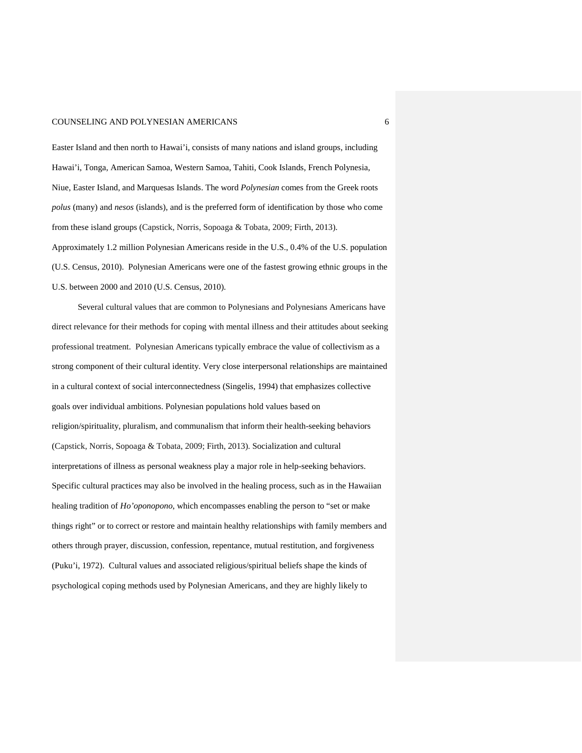Easter Island and then north to Hawai'i, consists of many nations and island groups, including Hawai'i, Tonga, American Samoa, Western Samoa, Tahiti, Cook Islands, French Polynesia, Niue, Easter Island, and Marquesas Islands. The word *Polynesian* comes from the Greek roots *polus* (many) and *nesos* (islands), and is the preferred form of identification by those who come from these island groups (Capstick, Norris, Sopoaga & Tobata, 2009; Firth, 2013).

Approximately 1.2 million Polynesian Americans reside in the U.S., 0.4% of the U.S. population (U.S. Census, 2010). Polynesian Americans were one of the fastest growing ethnic groups in the U.S. between 2000 and 2010 (U.S. Census, 2010).

Several cultural values that are common to Polynesians and Polynesians Americans have direct relevance for their methods for coping with mental illness and their attitudes about seeking professional treatment. Polynesian Americans typically embrace the value of collectivism as a strong component of their cultural identity. Very close interpersonal relationships are maintained in a cultural context of social interconnectedness (Singelis, 1994) that emphasizes collective goals over individual ambitions. Polynesian populations hold values based on religion/spirituality, pluralism, and communalism that inform their health-seeking behaviors (Capstick, Norris, Sopoaga & Tobata, 2009; Firth, 2013). Socialization and cultural interpretations of illness as personal weakness play a major role in help-seeking behaviors. Specific cultural practices may also be involved in the healing process, such as in the Hawaiian healing tradition of *Ho'oponopono*, which encompasses enabling the person to "set or make things right" or to correct or restore and maintain healthy relationships with family members and others through prayer, discussion, confession, repentance, mutual restitution, and forgiveness (Puku'i, 1972). Cultural values and associated religious/spiritual beliefs shape the kinds of psychological coping methods used by Polynesian Americans, and they are highly likely to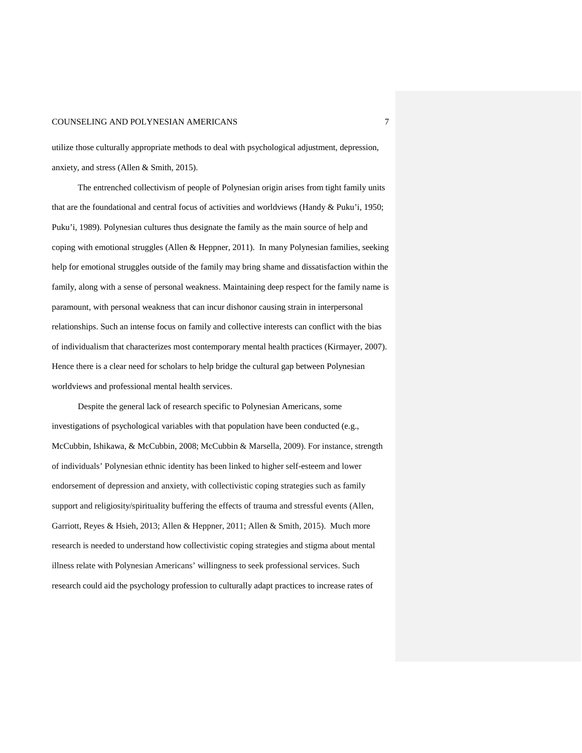utilize those culturally appropriate methods to deal with psychological adjustment, depression, anxiety, and stress (Allen & Smith, 2015).

The entrenched collectivism of people of Polynesian origin arises from tight family units that are the foundational and central focus of activities and worldviews (Handy & Puku'i, 1950; Puku'i, 1989). Polynesian cultures thus designate the family as the main source of help and coping with emotional struggles (Allen & Heppner, 2011). In many Polynesian families, seeking help for emotional struggles outside of the family may bring shame and dissatisfaction within the family, along with a sense of personal weakness. Maintaining deep respect for the family name is paramount, with personal weakness that can incur dishonor causing strain in interpersonal relationships. Such an intense focus on family and collective interests can conflict with the bias of individualism that characterizes most contemporary mental health practices (Kirmayer, 2007). Hence there is a clear need for scholars to help bridge the cultural gap between Polynesian worldviews and professional mental health services.

Despite the general lack of research specific to Polynesian Americans, some investigations of psychological variables with that population have been conducted (e.g., McCubbin, Ishikawa, & McCubbin, 2008; McCubbin & Marsella, 2009). For instance, strength of individuals' Polynesian ethnic identity has been linked to higher self-esteem and lower endorsement of depression and anxiety, with collectivistic coping strategies such as family support and religiosity/spirituality buffering the effects of trauma and stressful events (Allen, Garriott, Reyes & Hsieh, 2013; Allen & Heppner, 2011; Allen & Smith, 2015). Much more research is needed to understand how collectivistic coping strategies and stigma about mental illness relate with Polynesian Americans' willingness to seek professional services. Such research could aid the psychology profession to culturally adapt practices to increase rates of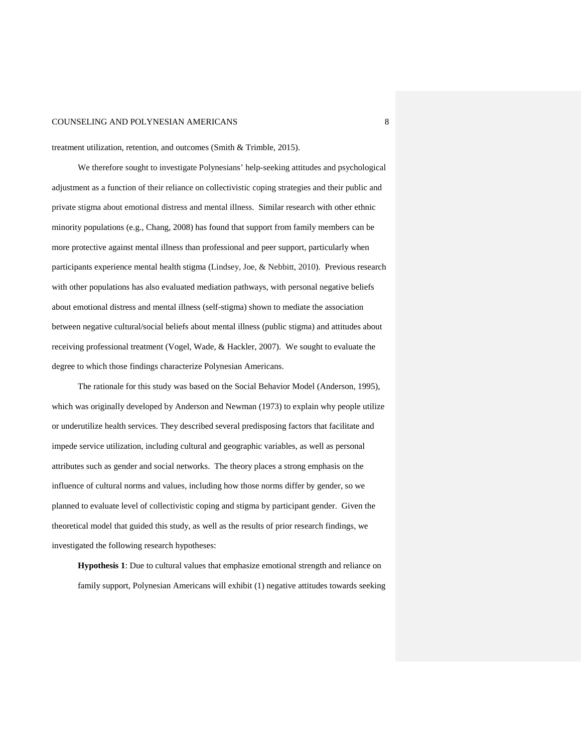treatment utilization, retention, and outcomes (Smith & Trimble, 2015).

We therefore sought to investigate Polynesians' help-seeking attitudes and psychological adjustment as a function of their reliance on collectivistic coping strategies and their public and private stigma about emotional distress and mental illness. Similar research with other ethnic minority populations (e.g., Chang, 2008) has found that support from family members can be more protective against mental illness than professional and peer support, particularly when participants experience mental health stigma (Lindsey, Joe, & Nebbitt, 2010). Previous research with other populations has also evaluated mediation pathways, with personal negative beliefs about emotional distress and mental illness (self-stigma) shown to mediate the association between negative cultural/social beliefs about mental illness (public stigma) and attitudes about receiving professional treatment (Vogel, Wade, & Hackler, 2007). We sought to evaluate the degree to which those findings characterize Polynesian Americans.

The rationale for this study was based on the Social Behavior Model (Anderson, 1995), which was originally developed by Anderson and Newman (1973) to explain why people utilize or underutilize health services. They described several predisposing factors that facilitate and impede service utilization, including cultural and geographic variables, as well as personal attributes such as gender and social networks. The theory places a strong emphasis on the influence of cultural norms and values, including how those norms differ by gender, so we planned to evaluate level of collectivistic coping and stigma by participant gender. Given the theoretical model that guided this study, as well as the results of prior research findings, we investigated the following research hypotheses:

**Hypothesis 1**: Due to cultural values that emphasize emotional strength and reliance on family support, Polynesian Americans will exhibit (1) negative attitudes towards seeking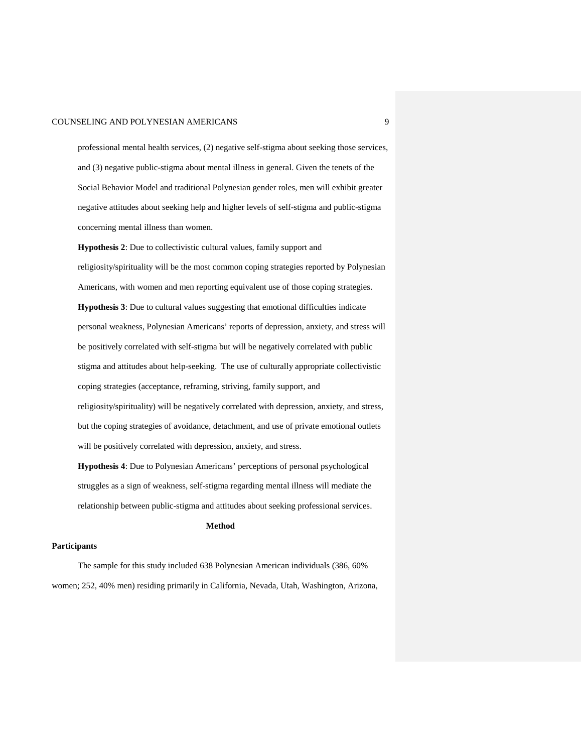professional mental health services, (2) negative self-stigma about seeking those services, and (3) negative public-stigma about mental illness in general. Given the tenets of the Social Behavior Model and traditional Polynesian gender roles, men will exhibit greater negative attitudes about seeking help and higher levels of self-stigma and public-stigma concerning mental illness than women.

**Hypothesis 2**: Due to collectivistic cultural values, family support and religiosity/spirituality will be the most common coping strategies reported by Polynesian Americans, with women and men reporting equivalent use of those coping strategies. **Hypothesis 3**: Due to cultural values suggesting that emotional difficulties indicate personal weakness, Polynesian Americans' reports of depression, anxiety, and stress will be positively correlated with self-stigma but will be negatively correlated with public stigma and attitudes about help-seeking. The use of culturally appropriate collectivistic coping strategies (acceptance, reframing, striving, family support, and religiosity/spirituality) will be negatively correlated with depression, anxiety, and stress, but the coping strategies of avoidance, detachment, and use of private emotional outlets will be positively correlated with depression, anxiety, and stress.

**Hypothesis 4**: Due to Polynesian Americans' perceptions of personal psychological struggles as a sign of weakness, self-stigma regarding mental illness will mediate the relationship between public-stigma and attitudes about seeking professional services.

#### **Method**

#### **Participants**

The sample for this study included 638 Polynesian American individuals (386, 60% women; 252, 40% men) residing primarily in California, Nevada, Utah, Washington, Arizona,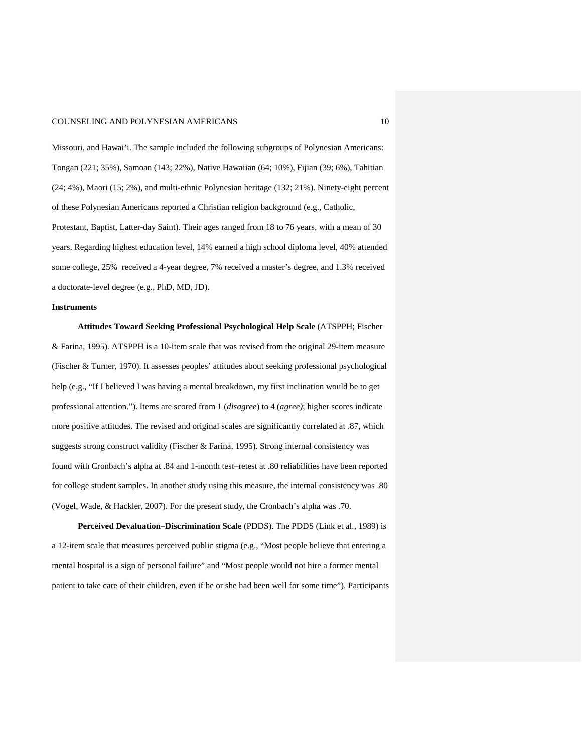Missouri, and Hawai'i. The sample included the following subgroups of Polynesian Americans: Tongan (221; 35%), Samoan (143; 22%), Native Hawaiian (64; 10%), Fijian (39; 6%), Tahitian (24; 4%), Maori (15; 2%), and multi-ethnic Polynesian heritage (132; 21%). Ninety-eight percent of these Polynesian Americans reported a Christian religion background (e.g., Catholic,

Protestant, Baptist, Latter-day Saint). Their ages ranged from 18 to 76 years, with a mean of 30 years. Regarding highest education level, 14% earned a high school diploma level, 40% attended some college, 25% received a 4-year degree, 7% received a master's degree, and 1.3% received a doctorate-level degree (e.g., PhD, MD, JD).

#### **Instruments**

**Attitudes Toward Seeking Professional Psychological Help Scale** (ATSPPH; Fischer & Farina, 1995). ATSPPH is a 10-item scale that was revised from the original 29-item measure (Fischer & Turner, 1970). It assesses peoples' attitudes about seeking professional psychological help (e.g., "If I believed I was having a mental breakdown, my first inclination would be to get professional attention."). Items are scored from 1 (*disagree*) to 4 (*agree)*; higher scores indicate more positive attitudes. The revised and original scales are significantly correlated at .87, which suggests strong construct validity (Fischer & Farina, 1995). Strong internal consistency was found with Cronbach's alpha at .84 and 1-month test–retest at .80 reliabilities have been reported for college student samples. In another study using this measure, the internal consistency was .80 (Vogel, Wade, & Hackler, 2007). For the present study, the Cronbach's alpha was .70.

**Perceived Devaluation–Discrimination Scale** (PDDS). The PDDS (Link et al., 1989) is a 12-item scale that measures perceived public stigma (e.g., "Most people believe that entering a mental hospital is a sign of personal failure" and "Most people would not hire a former mental patient to take care of their children, even if he or she had been well for some time"). Participants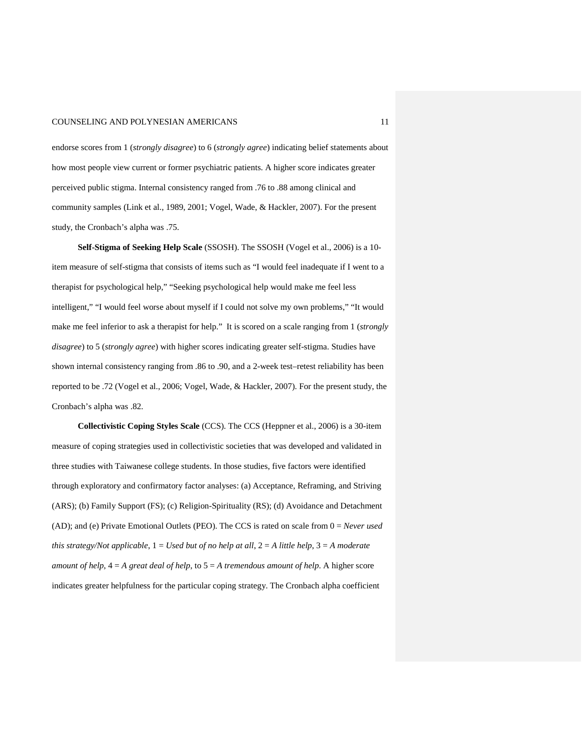endorse scores from 1 (*strongly disagree*) to 6 (*strongly agree*) indicating belief statements about how most people view current or former psychiatric patients. A higher score indicates greater perceived public stigma. Internal consistency ranged from .76 to .88 among clinical and community samples (Link et al., 1989, 2001; Vogel, Wade, & Hackler, 2007). For the present study, the Cronbach's alpha was .75.

**Self-Stigma of Seeking Help Scale** (SSOSH). The SSOSH (Vogel et al., 2006) is a 10 item measure of self-stigma that consists of items such as "I would feel inadequate if I went to a therapist for psychological help," "Seeking psychological help would make me feel less intelligent," "I would feel worse about myself if I could not solve my own problems," "It would make me feel inferior to ask a therapist for help." It is scored on a scale ranging from 1 (*strongly disagree*) to 5 (*strongly agree*) with higher scores indicating greater self-stigma. Studies have shown internal consistency ranging from .86 to .90, and a 2-week test–retest reliability has been reported to be .72 (Vogel et al., 2006; Vogel, Wade, & Hackler, 2007). For the present study, the Cronbach's alpha was .82.

**Collectivistic Coping Styles Scale** (CCS). The CCS (Heppner et al., 2006) is a 30-item measure of coping strategies used in collectivistic societies that was developed and validated in three studies with Taiwanese college students. In those studies, five factors were identified through exploratory and confirmatory factor analyses: (a) Acceptance, Reframing, and Striving (ARS); (b) Family Support (FS); (c) Religion-Spirituality (RS); (d) Avoidance and Detachment (AD); and (e) Private Emotional Outlets (PEO). The CCS is rated on scale from 0 = *Never used this strategy/Not applicable*,  $1 = Used$  *but of no help at all*,  $2 = A$  *little help*,  $3 = A$  *moderate amount of help*, 4 = *A great deal of help*, to 5 = *A tremendous amount of help*. A higher score indicates greater helpfulness for the particular coping strategy. The Cronbach alpha coefficient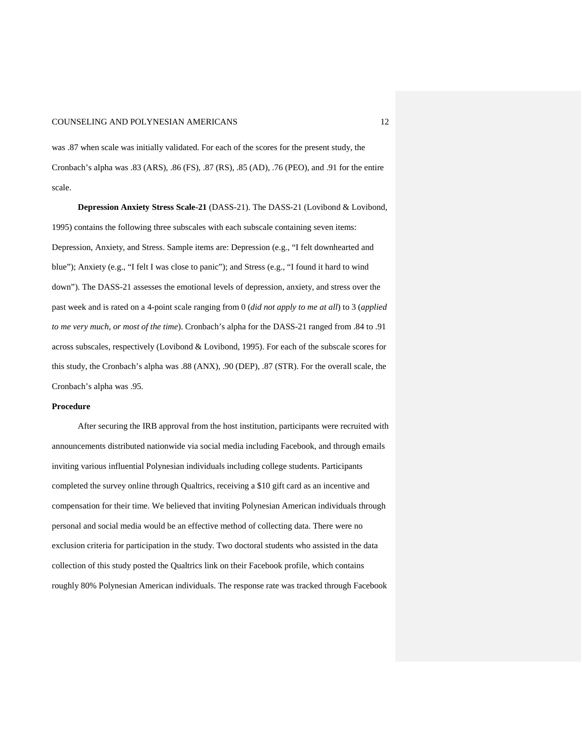was .87 when scale was initially validated. For each of the scores for the present study, the Cronbach's alpha was .83 (ARS), .86 (FS), .87 (RS), .85 (AD), .76 (PEO), and .91 for the entire scale.

**Depression Anxiety Stress Scale-21** (DASS-21). The DASS-21 (Lovibond & Lovibond, 1995) contains the following three subscales with each subscale containing seven items: Depression, Anxiety, and Stress. Sample items are: Depression (e.g., "I felt downhearted and blue"); Anxiety (e.g., "I felt I was close to panic"); and Stress (e.g., "I found it hard to wind down"). The DASS-21 assesses the emotional levels of depression, anxiety, and stress over the past week and is rated on a 4-point scale ranging from 0 (*did not apply to me at all*) to 3 (*applied to me very much, or most of the time*). Cronbach's alpha for the DASS-21 ranged from .84 to .91 across subscales, respectively (Lovibond & Lovibond, 1995). For each of the subscale scores for this study, the Cronbach's alpha was .88 (ANX), .90 (DEP), .87 (STR). For the overall scale, the Cronbach's alpha was .95.

#### **Procedure**

After securing the IRB approval from the host institution, participants were recruited with announcements distributed nationwide via social media including Facebook, and through emails inviting various influential Polynesian individuals including college students. Participants completed the survey online through Qualtrics, receiving a \$10 gift card as an incentive and compensation for their time. We believed that inviting Polynesian American individuals through personal and social media would be an effective method of collecting data. There were no exclusion criteria for participation in the study. Two doctoral students who assisted in the data collection of this study posted the Qualtrics link on their Facebook profile, which contains roughly 80% Polynesian American individuals. The response rate was tracked through Facebook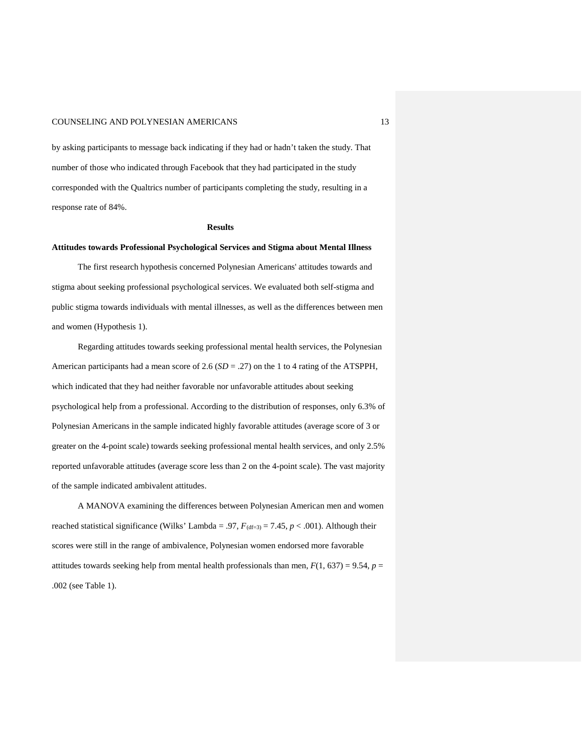by asking participants to message back indicating if they had or hadn't taken the study. That number of those who indicated through Facebook that they had participated in the study corresponded with the Qualtrics number of participants completing the study, resulting in a response rate of 84%.

#### **Results**

#### **Attitudes towards Professional Psychological Services and Stigma about Mental Illness**

The first research hypothesis concerned Polynesian Americans' attitudes towards and stigma about seeking professional psychological services. We evaluated both self-stigma and public stigma towards individuals with mental illnesses, as well as the differences between men and women (Hypothesis 1).

Regarding attitudes towards seeking professional mental health services, the Polynesian American participants had a mean score of 2.6 (*SD* = .27) on the 1 to 4 rating of the ATSPPH, which indicated that they had neither favorable nor unfavorable attitudes about seeking psychological help from a professional. According to the distribution of responses, only 6.3% of Polynesian Americans in the sample indicated highly favorable attitudes (average score of 3 or greater on the 4-point scale) towards seeking professional mental health services, and only 2.5% reported unfavorable attitudes (average score less than 2 on the 4-point scale). The vast majority of the sample indicated ambivalent attitudes.

A MANOVA examining the differences between Polynesian American men and women reached statistical significance (Wilks' Lambda = .97,  $F_{(df=3)} = 7.45$ ,  $p < .001$ ). Although their scores were still in the range of ambivalence, Polynesian women endorsed more favorable attitudes towards seeking help from mental health professionals than men,  $F(1, 637) = 9.54$ ,  $p =$ .002 (see Table 1).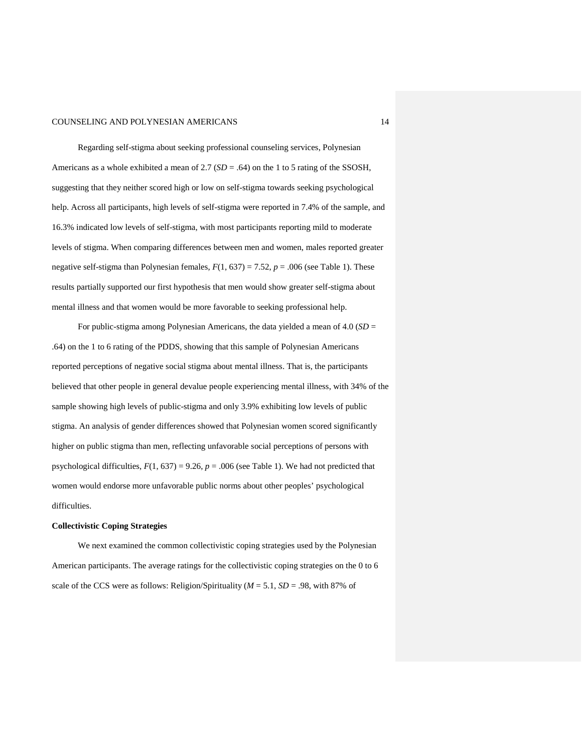Regarding self-stigma about seeking professional counseling services, Polynesian Americans as a whole exhibited a mean of 2.7 (*SD* = .64) on the 1 to 5 rating of the SSOSH, suggesting that they neither scored high or low on self-stigma towards seeking psychological help. Across all participants, high levels of self-stigma were reported in 7.4% of the sample, and 16.3% indicated low levels of self-stigma, with most participants reporting mild to moderate levels of stigma. When comparing differences between men and women, males reported greater negative self-stigma than Polynesian females,  $F(1, 637) = 7.52$ ,  $p = .006$  (see Table 1). These results partially supported our first hypothesis that men would show greater self-stigma about mental illness and that women would be more favorable to seeking professional help.

For public-stigma among Polynesian Americans, the data yielded a mean of 4.0 (*SD* = .64) on the 1 to 6 rating of the PDDS, showing that this sample of Polynesian Americans reported perceptions of negative social stigma about mental illness. That is, the participants believed that other people in general devalue people experiencing mental illness, with 34% of the sample showing high levels of public-stigma and only 3.9% exhibiting low levels of public stigma. An analysis of gender differences showed that Polynesian women scored significantly higher on public stigma than men, reflecting unfavorable social perceptions of persons with psychological difficulties,  $F(1, 637) = 9.26$ ,  $p = .006$  (see Table 1). We had not predicted that women would endorse more unfavorable public norms about other peoples' psychological difficulties.

#### **Collectivistic Coping Strategies**

We next examined the common collectivistic coping strategies used by the Polynesian American participants. The average ratings for the collectivistic coping strategies on the 0 to 6 scale of the CCS were as follows: Religion/Spirituality ( $M = 5.1$ ,  $SD = .98$ , with 87% of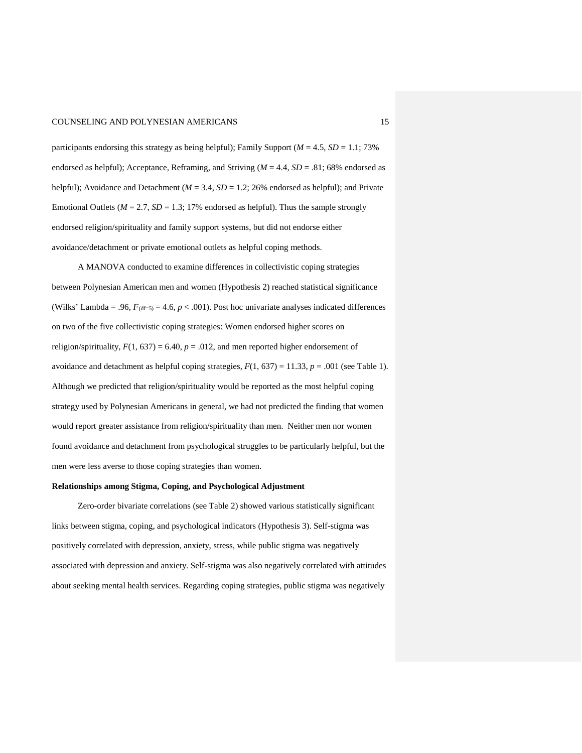participants endorsing this strategy as being helpful); Family Support  $(M = 4.5, SD = 1.1; 73\%$ endorsed as helpful); Acceptance, Reframing, and Striving  $(M = 4.4, SD = .81; 68%$  endorsed as helpful); Avoidance and Detachment ( $M = 3.4$ ,  $SD = 1.2$ ; 26% endorsed as helpful); and Private Emotional Outlets ( $M = 2.7$ ,  $SD = 1.3$ ; 17% endorsed as helpful). Thus the sample strongly endorsed religion/spirituality and family support systems, but did not endorse either avoidance/detachment or private emotional outlets as helpful coping methods.

A MANOVA conducted to examine differences in collectivistic coping strategies between Polynesian American men and women (Hypothesis 2) reached statistical significance (Wilks' Lambda = .96,  $F_{(df=5)} = 4.6$ ,  $p < .001$ ). Post hoc univariate analyses indicated differences on two of the five collectivistic coping strategies: Women endorsed higher scores on religion/spirituality,  $F(1, 637) = 6.40$ ,  $p = .012$ , and men reported higher endorsement of avoidance and detachment as helpful coping strategies,  $F(1, 637) = 11.33$ ,  $p = .001$  (see Table 1). Although we predicted that religion/spirituality would be reported as the most helpful coping strategy used by Polynesian Americans in general, we had not predicted the finding that women would report greater assistance from religion/spirituality than men. Neither men nor women found avoidance and detachment from psychological struggles to be particularly helpful, but the men were less averse to those coping strategies than women.

#### **Relationships among Stigma, Coping, and Psychological Adjustment**

Zero-order bivariate correlations (see Table 2) showed various statistically significant links between stigma, coping, and psychological indicators (Hypothesis 3). Self-stigma was positively correlated with depression, anxiety, stress, while public stigma was negatively associated with depression and anxiety. Self-stigma was also negatively correlated with attitudes about seeking mental health services. Regarding coping strategies, public stigma was negatively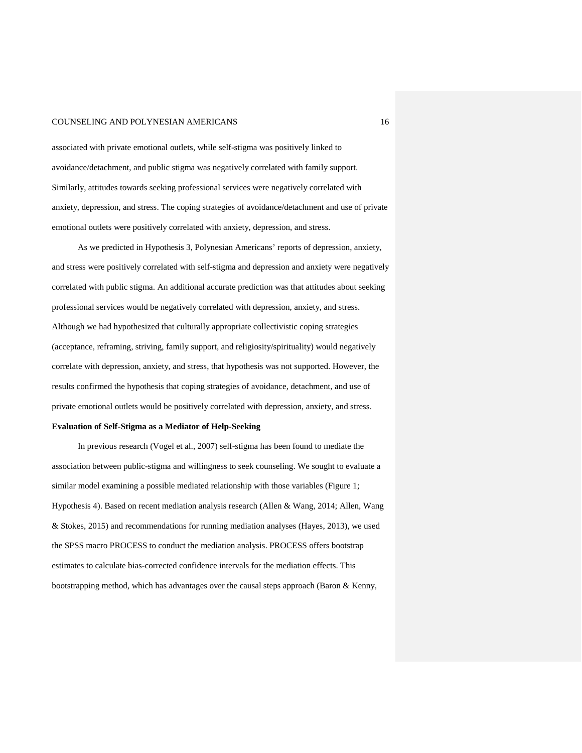associated with private emotional outlets, while self-stigma was positively linked to avoidance/detachment, and public stigma was negatively correlated with family support. Similarly, attitudes towards seeking professional services were negatively correlated with anxiety, depression, and stress. The coping strategies of avoidance/detachment and use of private emotional outlets were positively correlated with anxiety, depression, and stress.

As we predicted in Hypothesis 3, Polynesian Americans' reports of depression, anxiety, and stress were positively correlated with self-stigma and depression and anxiety were negatively correlated with public stigma. An additional accurate prediction was that attitudes about seeking professional services would be negatively correlated with depression, anxiety, and stress. Although we had hypothesized that culturally appropriate collectivistic coping strategies (acceptance, reframing, striving, family support, and religiosity/spirituality) would negatively correlate with depression, anxiety, and stress, that hypothesis was not supported. However, the results confirmed the hypothesis that coping strategies of avoidance, detachment, and use of private emotional outlets would be positively correlated with depression, anxiety, and stress.

#### **Evaluation of Self-Stigma as a Mediator of Help-Seeking**

In previous research (Vogel et al., 2007) self-stigma has been found to mediate the association between public-stigma and willingness to seek counseling. We sought to evaluate a similar model examining a possible mediated relationship with those variables (Figure 1; Hypothesis 4). Based on recent mediation analysis research (Allen & Wang, 2014; Allen, Wang & Stokes, 2015) and recommendations for running mediation analyses (Hayes, 2013), we used the SPSS macro PROCESS to conduct the mediation analysis. PROCESS offers bootstrap estimates to calculate bias-corrected confidence intervals for the mediation effects. This bootstrapping method, which has advantages over the causal steps approach (Baron & Kenny,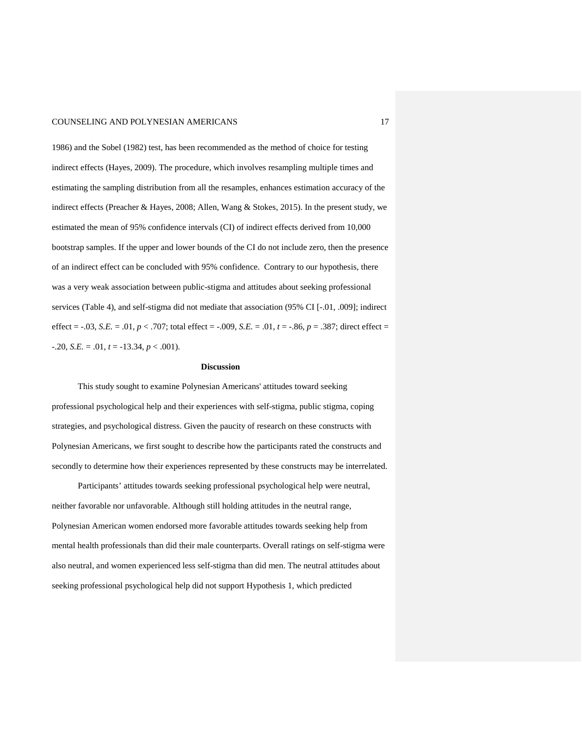1986) and the Sobel (1982) test, has been recommended as the method of choice for testing indirect effects (Hayes, 2009). The procedure, which involves resampling multiple times and estimating the sampling distribution from all the resamples, enhances estimation accuracy of the indirect effects (Preacher & Hayes, 2008; Allen, Wang & Stokes, 2015). In the present study, we estimated the mean of 95% confidence intervals (CI) of indirect effects derived from 10,000 bootstrap samples. If the upper and lower bounds of the CI do not include zero, then the presence of an indirect effect can be concluded with 95% confidence. Contrary to our hypothesis, there was a very weak association between public-stigma and attitudes about seeking professional services (Table 4), and self-stigma did not mediate that association (95% CI [-.01, .009]; indirect effect =  $-.03$ , *S.E.* =  $.01, p < .707$ ; total effect =  $-.009$ , *S.E.* =  $.01, t = -.86, p = .387$ ; direct effect =  $-0.20$ , *S.E.* =  $0.01$ ,  $t = -13.34$ ,  $p < 0.001$ ).

#### **Discussion**

This study sought to examine Polynesian Americans' attitudes toward seeking professional psychological help and their experiences with self-stigma, public stigma, coping strategies, and psychological distress. Given the paucity of research on these constructs with Polynesian Americans, we first sought to describe how the participants rated the constructs and secondly to determine how their experiences represented by these constructs may be interrelated.

Participants' attitudes towards seeking professional psychological help were neutral, neither favorable nor unfavorable. Although still holding attitudes in the neutral range, Polynesian American women endorsed more favorable attitudes towards seeking help from mental health professionals than did their male counterparts. Overall ratings on self-stigma were also neutral, and women experienced less self-stigma than did men. The neutral attitudes about seeking professional psychological help did not support Hypothesis 1, which predicted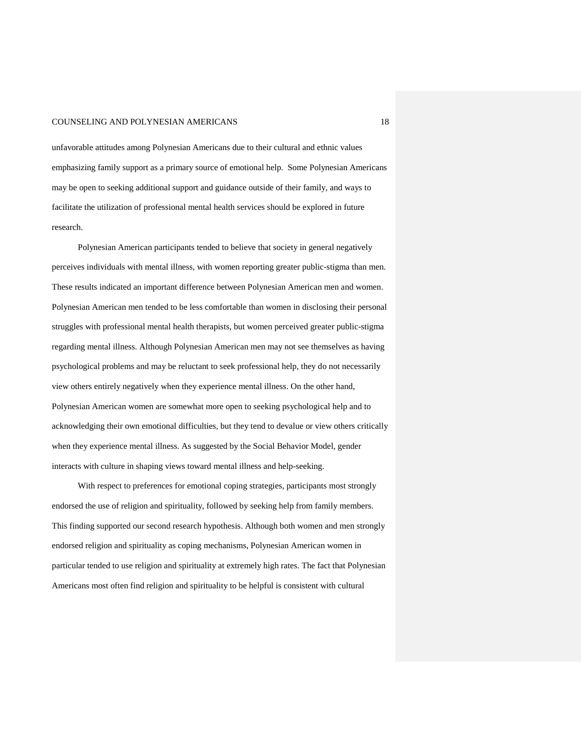unfavorable attitudes among Polynesian Americans due to their cultural and ethnic values emphasizing family support as a primary source of emotional help. Some Polynesian Americans may be open to seeking additional support and guidance outside of their family, and ways to facilitate the utilization of professional mental health services should be explored in future research.

Polynesian American participants tended to believe that society in general negatively perceives individuals with mental illness, with women reporting greater public-stigma than men. These results indicated an important difference between Polynesian American men and women. Polynesian American men tended to be less comfortable than women in disclosing their personal struggles with professional mental health therapists, but women perceived greater public-stigma regarding mental illness. Although Polynesian American men may not see themselves as having psychological problems and may be reluctant to seek professional help, they do not necessarily view others entirely negatively when they experience mental illness. On the other hand, Polynesian American women are somewhat more open to seeking psychological help and to acknowledging their own emotional difficulties, but they tend to devalue or view others critically when they experience mental illness. As suggested by the Social Behavior Model, gender interacts with culture in shaping views toward mental illness and help-seeking.

With respect to preferences for emotional coping strategies, participants most strongly endorsed the use of religion and spirituality, followed by seeking help from family members. This finding supported our second research hypothesis. Although both women and men strongly endorsed religion and spirituality as coping mechanisms, Polynesian American women in particular tended to use religion and spirituality at extremely high rates. The fact that Polynesian Americans most often find religion and spirituality to be helpful is consistent with cultural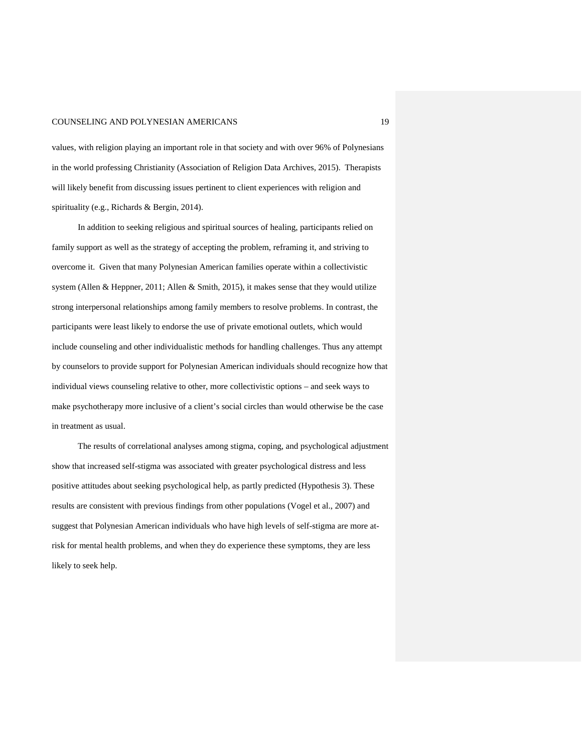values, with religion playing an important role in that society and with over 96% of Polynesians in the world professing Christianity (Association of Religion Data Archives, 2015). Therapists will likely benefit from discussing issues pertinent to client experiences with religion and spirituality (e.g., Richards & Bergin, 2014).

In addition to seeking religious and spiritual sources of healing, participants relied on family support as well as the strategy of accepting the problem, reframing it, and striving to overcome it. Given that many Polynesian American families operate within a collectivistic system (Allen & Heppner, 2011; Allen & Smith, 2015), it makes sense that they would utilize strong interpersonal relationships among family members to resolve problems. In contrast, the participants were least likely to endorse the use of private emotional outlets, which would include counseling and other individualistic methods for handling challenges. Thus any attempt by counselors to provide support for Polynesian American individuals should recognize how that individual views counseling relative to other, more collectivistic options – and seek ways to make psychotherapy more inclusive of a client's social circles than would otherwise be the case in treatment as usual.

The results of correlational analyses among stigma, coping, and psychological adjustment show that increased self-stigma was associated with greater psychological distress and less positive attitudes about seeking psychological help, as partly predicted (Hypothesis 3). These results are consistent with previous findings from other populations (Vogel et al., 2007) and suggest that Polynesian American individuals who have high levels of self-stigma are more atrisk for mental health problems, and when they do experience these symptoms, they are less likely to seek help.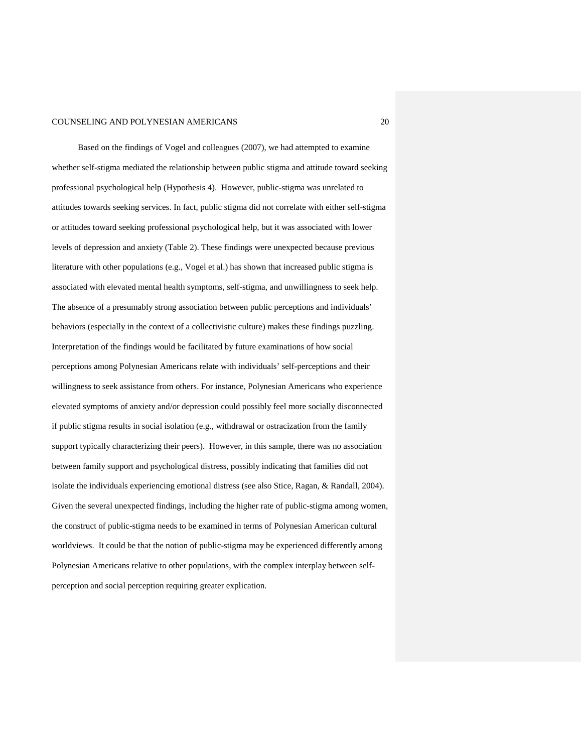Based on the findings of Vogel and colleagues (2007), we had attempted to examine whether self-stigma mediated the relationship between public stigma and attitude toward seeking professional psychological help (Hypothesis 4). However, public-stigma was unrelated to attitudes towards seeking services. In fact, public stigma did not correlate with either self-stigma or attitudes toward seeking professional psychological help, but it was associated with lower levels of depression and anxiety (Table 2). These findings were unexpected because previous literature with other populations (e.g., Vogel et al.) has shown that increased public stigma is associated with elevated mental health symptoms, self-stigma, and unwillingness to seek help. The absence of a presumably strong association between public perceptions and individuals' behaviors (especially in the context of a collectivistic culture) makes these findings puzzling. Interpretation of the findings would be facilitated by future examinations of how social perceptions among Polynesian Americans relate with individuals' self-perceptions and their willingness to seek assistance from others. For instance, Polynesian Americans who experience elevated symptoms of anxiety and/or depression could possibly feel more socially disconnected if public stigma results in social isolation (e.g., withdrawal or ostracization from the family support typically characterizing their peers). However, in this sample, there was no association between family support and psychological distress, possibly indicating that families did not isolate the individuals experiencing emotional distress (see also Stice, Ragan, & Randall, 2004). Given the several unexpected findings, including the higher rate of public-stigma among women, the construct of public-stigma needs to be examined in terms of Polynesian American cultural worldviews. It could be that the notion of public-stigma may be experienced differently among Polynesian Americans relative to other populations, with the complex interplay between selfperception and social perception requiring greater explication.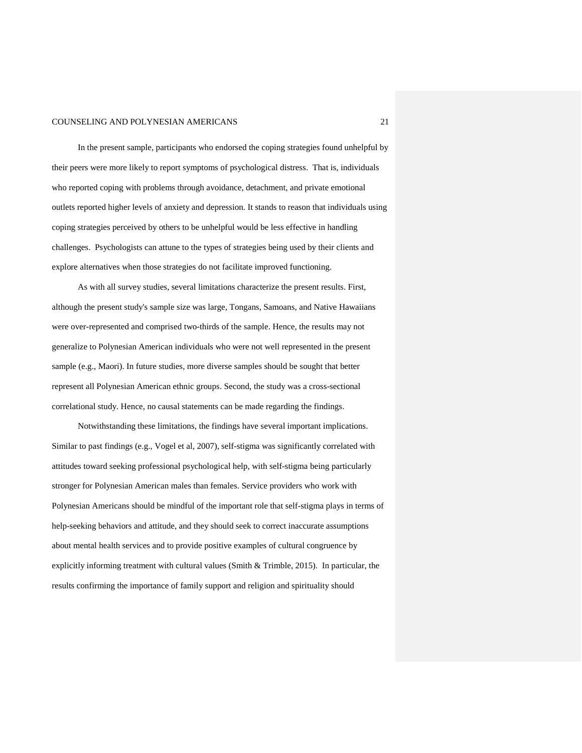In the present sample, participants who endorsed the coping strategies found unhelpful by their peers were more likely to report symptoms of psychological distress. That is, individuals who reported coping with problems through avoidance, detachment, and private emotional outlets reported higher levels of anxiety and depression. It stands to reason that individuals using coping strategies perceived by others to be unhelpful would be less effective in handling challenges. Psychologists can attune to the types of strategies being used by their clients and explore alternatives when those strategies do not facilitate improved functioning.

As with all survey studies, several limitations characterize the present results. First, although the present study's sample size was large, Tongans, Samoans, and Native Hawaiians were over-represented and comprised two-thirds of the sample. Hence, the results may not generalize to Polynesian American individuals who were not well represented in the present sample (e.g., Maori). In future studies, more diverse samples should be sought that better represent all Polynesian American ethnic groups. Second, the study was a cross-sectional correlational study. Hence, no causal statements can be made regarding the findings.

Notwithstanding these limitations, the findings have several important implications. Similar to past findings (e.g., Vogel et al, 2007), self-stigma was significantly correlated with attitudes toward seeking professional psychological help, with self-stigma being particularly stronger for Polynesian American males than females. Service providers who work with Polynesian Americans should be mindful of the important role that self-stigma plays in terms of help-seeking behaviors and attitude, and they should seek to correct inaccurate assumptions about mental health services and to provide positive examples of cultural congruence by explicitly informing treatment with cultural values (Smith & Trimble, 2015). In particular, the results confirming the importance of family support and religion and spirituality should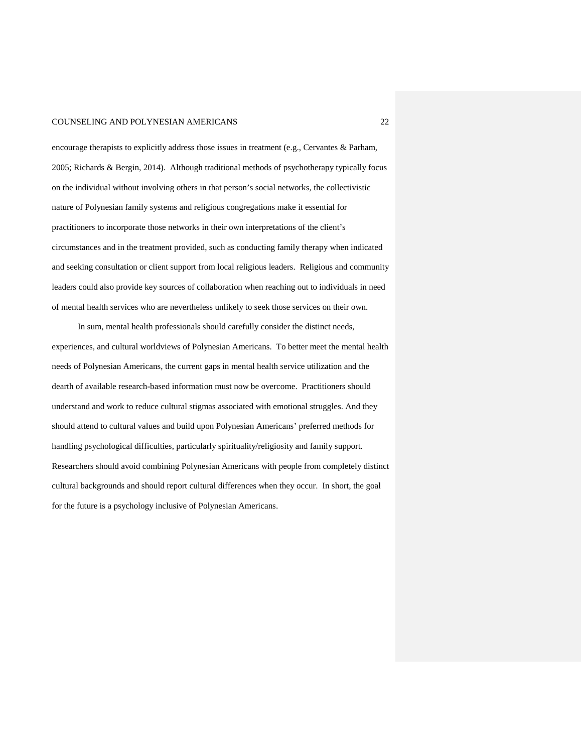encourage therapists to explicitly address those issues in treatment (e.g., Cervantes & Parham, 2005; Richards & Bergin, 2014). Although traditional methods of psychotherapy typically focus on the individual without involving others in that person's social networks, the collectivistic nature of Polynesian family systems and religious congregations make it essential for practitioners to incorporate those networks in their own interpretations of the client's circumstances and in the treatment provided, such as conducting family therapy when indicated and seeking consultation or client support from local religious leaders. Religious and community leaders could also provide key sources of collaboration when reaching out to individuals in need of mental health services who are nevertheless unlikely to seek those services on their own.

In sum, mental health professionals should carefully consider the distinct needs, experiences, and cultural worldviews of Polynesian Americans. To better meet the mental health needs of Polynesian Americans, the current gaps in mental health service utilization and the dearth of available research-based information must now be overcome. Practitioners should understand and work to reduce cultural stigmas associated with emotional struggles. And they should attend to cultural values and build upon Polynesian Americans' preferred methods for handling psychological difficulties, particularly spirituality/religiosity and family support. Researchers should avoid combining Polynesian Americans with people from completely distinct cultural backgrounds and should report cultural differences when they occur. In short, the goal for the future is a psychology inclusive of Polynesian Americans.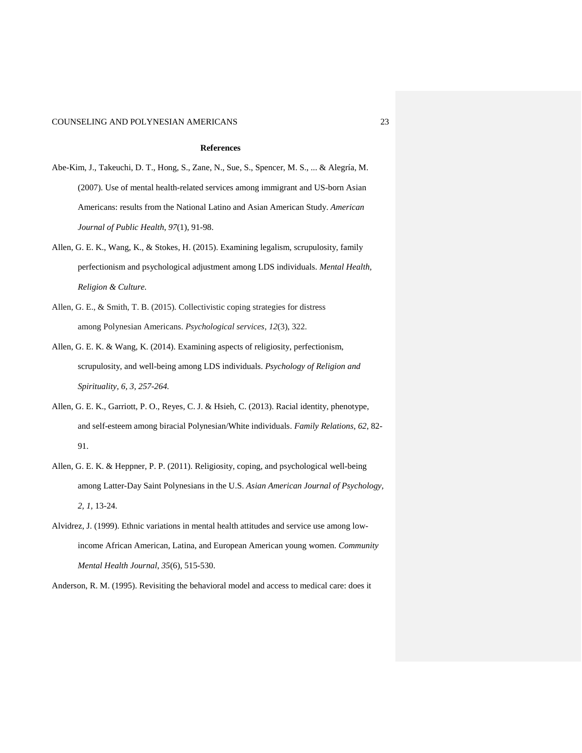#### **References**

- Abe-Kim, J., Takeuchi, D. T., Hong, S., Zane, N., Sue, S., Spencer, M. S., ... & Alegría, M. (2007). Use of mental health-related services among immigrant and US-born Asian Americans: results from the National Latino and Asian American Study. *American Journal of Public Health*, *97*(1), 91-98.
- Allen, G. E. K., Wang, K., & Stokes, H. (2015). Examining legalism, scrupulosity, family perfectionism and psychological adjustment among LDS individuals. *Mental Health, Religion & Culture.*
- Allen, G. E., & Smith, T. B. (2015). Collectivistic coping strategies for distress among Polynesian Americans. *Psychological services*, *12*(3), 322.
- Allen, G. E. K. & Wang, K. (2014). Examining aspects of religiosity, perfectionism, scrupulosity, and well-being among LDS individuals. *Psychology of Religion and Spirituality, 6, 3, 257-264.*
- Allen, G. E. K., Garriott, P. O., Reyes, C. J. & Hsieh, C. (2013). Racial identity, phenotype, and self-esteem among biracial Polynesian/White individuals. *Family Relations*, *62*, 82- 91.
- Allen, G. E. K. & Heppner, P. P. (2011). Religiosity, coping, and psychological well-being among Latter-Day Saint Polynesians in the U.S. *Asian American Journal of Psychology, 2, 1,* 13-24.
- Alvidrez, J. (1999). Ethnic variations in mental health attitudes and service use among lowincome African American, Latina, and European American young women. *Community Mental Health Journal*, *35*(6), 515-530.

Anderson, R. M. (1995). Revisiting the behavioral model and access to medical care: does it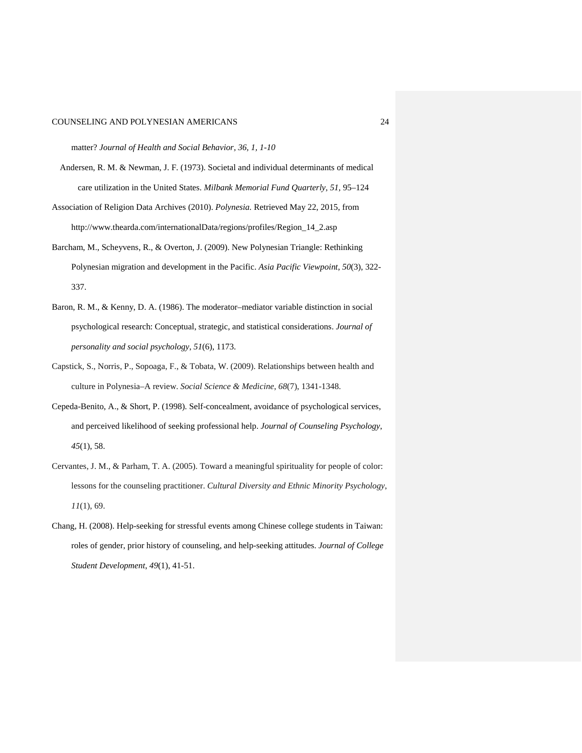matter? *Journal of Health and Social Behavior, 36, 1, 1-10*

- Andersen, R. M. & Newman, J. F. (1973). Societal and individual determinants of medical care utilization in the United States. *Milbank Memorial Fund Quarterly, 51,* 95–124
- Association of Religion Data Archives (2010). *Polynesia.* Retrieved May 22, 2015, from http://www.thearda.com/internationalData/regions/profiles/Region\_14\_2.asp
- Barcham, M., Scheyvens, R., & Overton, J. (2009). New Polynesian Triangle: Rethinking Polynesian migration and development in the Pacific. *Asia Pacific Viewpoint*, *50*(3), 322- 337.
- Baron, R. M., & Kenny, D. A. (1986). The moderator–mediator variable distinction in social psychological research: Conceptual, strategic, and statistical considerations. *Journal of personality and social psychology*, *51*(6), 1173.
- Capstick, S., Norris, P., Sopoaga, F., & Tobata, W. (2009). Relationships between health and culture in Polynesia–A review. *Social Science & Medicine*, *68*(7), 1341-1348.
- Cepeda-Benito, A., & Short, P. (1998). Self-concealment, avoidance of psychological services, and perceived likelihood of seeking professional help. *Journal of Counseling Psychology*, *45*(1), 58.
- Cervantes, J. M., & Parham, T. A. (2005). Toward a meaningful spirituality for people of color: lessons for the counseling practitioner. *Cultural Diversity and Ethnic Minority Psychology*, *11*(1), 69.
- Chang, H. (2008). Help-seeking for stressful events among Chinese college students in Taiwan: roles of gender, prior history of counseling, and help-seeking attitudes. *Journal of College Student Development*, *49*(1), 41-51.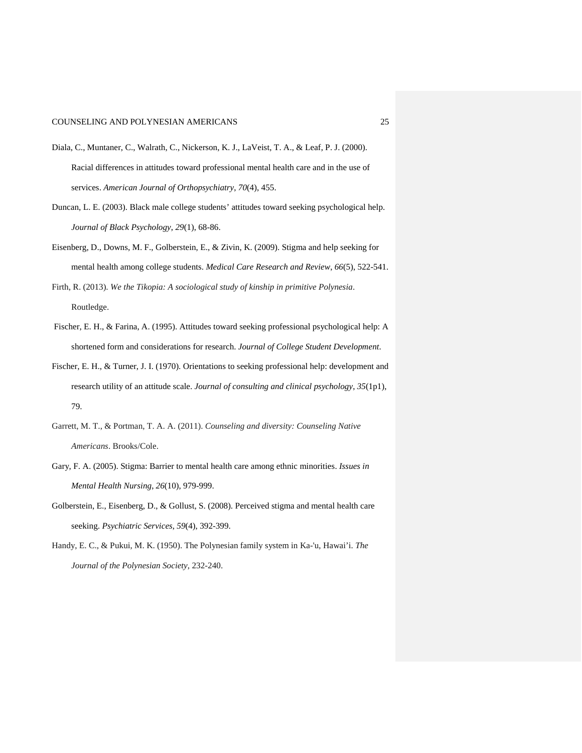- Diala, C., Muntaner, C., Walrath, C., Nickerson, K. J., LaVeist, T. A., & Leaf, P. J. (2000). Racial differences in attitudes toward professional mental health care and in the use of services. *American Journal of Orthopsychiatry*, *70*(4), 455.
- Duncan, L. E. (2003). Black male college students' attitudes toward seeking psychological help. *Journal of Black Psychology*, *29*(1), 68-86.
- Eisenberg, D., Downs, M. F., Golberstein, E., & Zivin, K. (2009). Stigma and help seeking for mental health among college students. *Medical Care Research and Review*, *66*(5), 522-541.
- Firth, R. (2013). *We the Tikopia: A sociological study of kinship in primitive Polynesia*. Routledge.
- Fischer, E. H., & Farina, A. (1995). Attitudes toward seeking professional psychological help: A shortened form and considerations for research. *Journal of College Student Development*.
- Fischer, E. H., & Turner, J. I. (1970). Orientations to seeking professional help: development and research utility of an attitude scale. *Journal of consulting and clinical psychology*, *35*(1p1), 79.
- Garrett, M. T., & Portman, T. A. A. (2011). *Counseling and diversity: Counseling Native Americans*. Brooks/Cole.
- Gary, F. A. (2005). Stigma: Barrier to mental health care among ethnic minorities. *Issues in Mental Health Nursing*, *26*(10), 979-999.
- Golberstein, E., Eisenberg, D., & Gollust, S. (2008). Perceived stigma and mental health care seeking. *Psychiatric Services*, *59*(4), 392-399.
- Handy, E. C., & Pukui, M. K. (1950). The Polynesian family system in Ka-'u, Hawai'i. *The Journal of the Polynesian Society*, 232-240.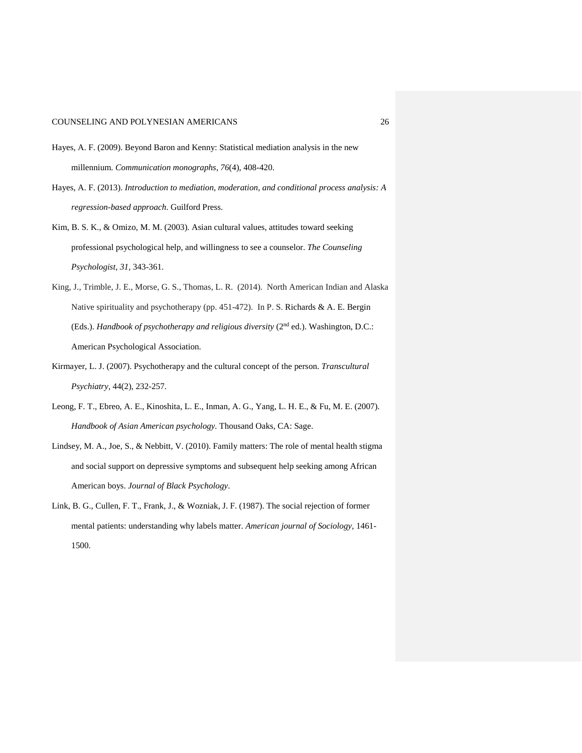- Hayes, A. F. (2009). Beyond Baron and Kenny: Statistical mediation analysis in the new millennium. *Communication monographs*, *76*(4), 408-420.
- Hayes, A. F. (2013). *Introduction to mediation, moderation, and conditional process analysis: A regression-based approach*. Guilford Press.
- Kim, B. S. K., & Omizo, M. M. (2003). Asian cultural values, attitudes toward seeking professional psychological help, and willingness to see a counselor. *The Counseling Psychologist, 31,* 343-361.
- King, J., Trimble, J. E., Morse, G. S., Thomas, L. R. (2014). North American Indian and Alaska Native spirituality and psychotherapy (pp. 451-472). In P. S. Richards & A. E. Bergin (Eds.). *Handbook of psychotherapy and religious diversity* (2<sup>nd</sup> ed.). Washington, D.C.: American Psychological Association.
- Kirmayer, L. J. (2007). Psychotherapy and the cultural concept of the person. *Transcultural Psychiatry,* 44(2), 232-257.
- Leong, F. T., Ebreo, A. E., Kinoshita, L. E., Inman, A. G., Yang, L. H. E., & Fu, M. E. (2007). *Handbook of Asian American psychology.* Thousand Oaks, CA: Sage.
- Lindsey, M. A., Joe, S., & Nebbitt, V. (2010). Family matters: The role of mental health stigma and social support on depressive symptoms and subsequent help seeking among African American boys. *Journal of Black Psychology*.
- Link, B. G., Cullen, F. T., Frank, J., & Wozniak, J. F. (1987). The social rejection of former mental patients: understanding why labels matter. *American journal of Sociology*, 1461- 1500.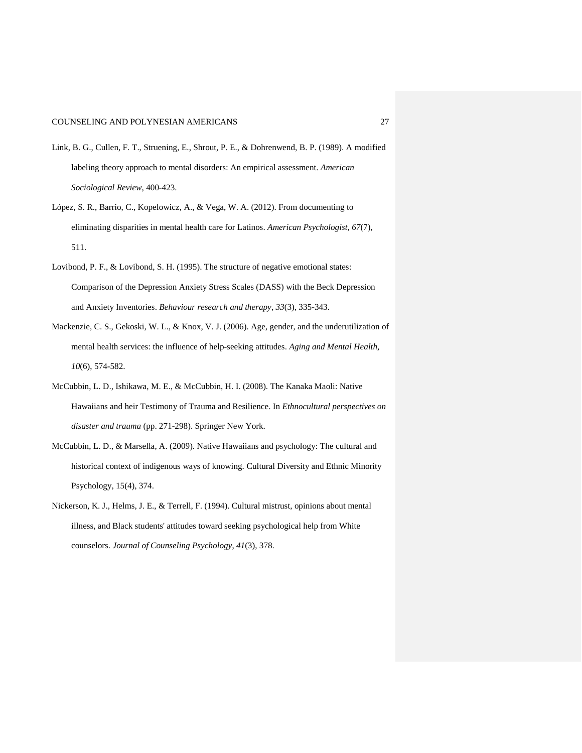- Link, B. G., Cullen, F. T., Struening, E., Shrout, P. E., & Dohrenwend, B. P. (1989). A modified labeling theory approach to mental disorders: An empirical assessment. *American Sociological Review*, 400-423.
- López, S. R., Barrio, C., Kopelowicz, A., & Vega, W. A. (2012). From documenting to eliminating disparities in mental health care for Latinos. *American Psychologist*, *67*(7), 511.
- Lovibond, P. F., & Lovibond, S. H. (1995). The structure of negative emotional states: Comparison of the Depression Anxiety Stress Scales (DASS) with the Beck Depression and Anxiety Inventories. *Behaviour research and therapy*, *33*(3), 335-343.
- Mackenzie, C. S., Gekoski, W. L., & Knox, V. J. (2006). Age, gender, and the underutilization of mental health services: the influence of help-seeking attitudes. *Aging and Mental Health*, *10*(6), 574-582.
- McCubbin, L. D., Ishikawa, M. E., & McCubbin, H. I. (2008). The Kanaka Maoli: Native Hawaiians and heir Testimony of Trauma and Resilience. In *Ethnocultural perspectives on disaster and trauma* (pp. 271-298). Springer New York.
- McCubbin, L. D., & Marsella, A. (2009). Native Hawaiians and psychology: The cultural and historical context of indigenous ways of knowing. Cultural Diversity and Ethnic Minority Psychology, 15(4), 374.
- Nickerson, K. J., Helms, J. E., & Terrell, F. (1994). Cultural mistrust, opinions about mental illness, and Black students' attitudes toward seeking psychological help from White counselors. *Journal of Counseling Psychology*, *41*(3), 378.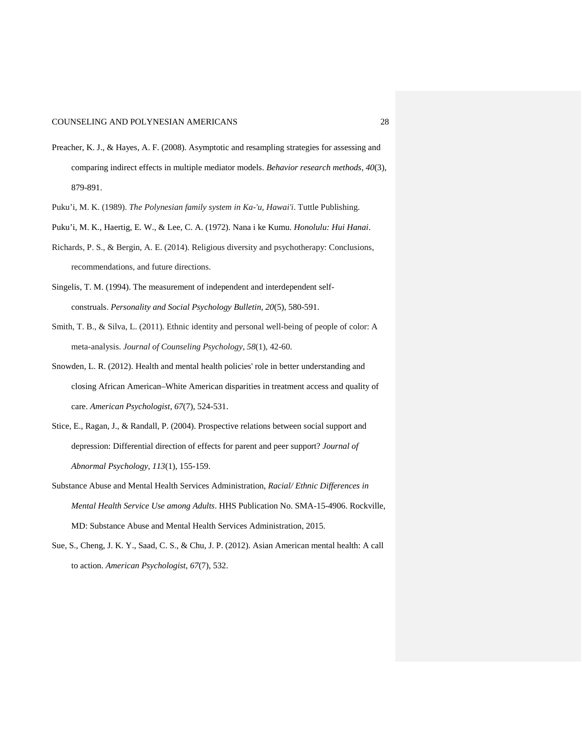- Preacher, K. J., & Hayes, A. F. (2008). Asymptotic and resampling strategies for assessing and comparing indirect effects in multiple mediator models. *Behavior research methods*, *40*(3), 879-891.
- Puku'i, M. K. (1989). *The Polynesian family system in Ka-'u, Hawai'i*. Tuttle Publishing.
- Puku'i, M. K., Haertig, E. W., & Lee, C. A. (1972). Nana i ke Kumu. *Honolulu: Hui Hanai*.
- Richards, P. S., & Bergin, A. E. (2014). Religious diversity and psychotherapy: Conclusions, recommendations, and future directions.
- Singelis, T. M. (1994). The measurement of independent and interdependent selfconstruals. *Personality and Social Psychology Bulletin*, *20*(5), 580-591.
- Smith, T. B., & Silva, L. (2011). Ethnic identity and personal well-being of people of color: A meta-analysis. *Journal of Counseling Psychology*, *58*(1), 42-60.
- Snowden, L. R. (2012). Health and mental health policies' role in better understanding and closing African American–White American disparities in treatment access and quality of care. *American Psychologist*, *67*(7), 524-531.
- Stice, E., Ragan, J., & Randall, P. (2004). Prospective relations between social support and depression: Differential direction of effects for parent and peer support? *Journal of Abnormal Psychology, 113*(1), 155-159.
- Substance Abuse and Mental Health Services Administration, *Racial/ Ethnic Differences in Mental Health Service Use among Adults*. HHS Publication No. SMA-15-4906. Rockville, MD: Substance Abuse and Mental Health Services Administration, 2015.
- Sue, S., Cheng, J. K. Y., Saad, C. S., & Chu, J. P. (2012). Asian American mental health: A call to action. *American Psychologist*, *67*(7), 532.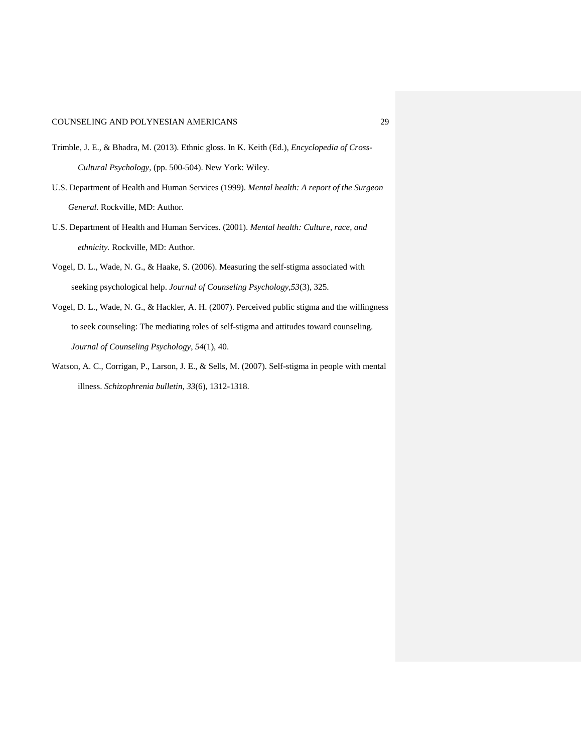- Trimble, J. E., & Bhadra, M. (2013). Ethnic gloss. In K. Keith (Ed.), *Encyclopedia of Cross-Cultural Psychology,* (pp. 500-504). New York: Wiley.
- U.S. Department of Health and Human Services (1999). *Mental health: A report of the Surgeon General.* Rockville, MD: Author.
- U.S. Department of Health and Human Services. (2001). *Mental health: Culture, race, and ethnicity.* Rockville, MD: Author.
- Vogel, D. L., Wade, N. G., & Haake, S. (2006). Measuring the self-stigma associated with seeking psychological help. *Journal of Counseling Psychology*,*53*(3), 325.
- Vogel, D. L., Wade, N. G., & Hackler, A. H. (2007). Perceived public stigma and the willingness to seek counseling: The mediating roles of self-stigma and attitudes toward counseling. *Journal of Counseling Psychology*, *54*(1), 40.
- Watson, A. C., Corrigan, P., Larson, J. E., & Sells, M. (2007). Self-stigma in people with mental illness. *Schizophrenia bulletin*, *33*(6), 1312-1318.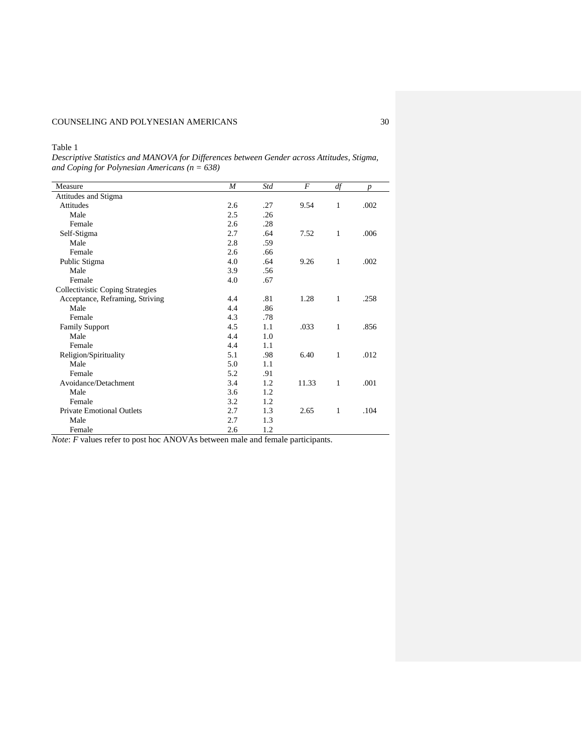Table 1

*Descriptive Statistics and MANOVA for Differences between Gender across Attitudes, Stigma, and Coping for Polynesian Americans (n = 638)* 

| Measure                                 | $\boldsymbol{M}$ | Std | F     | df           | $\boldsymbol{p}$ |
|-----------------------------------------|------------------|-----|-------|--------------|------------------|
| Attitudes and Stigma                    |                  |     |       |              |                  |
| <b>Attitudes</b>                        | 2.6              | .27 | 9.54  | $\mathbf{1}$ | .002             |
| Male                                    | 2.5              | .26 |       |              |                  |
| Female                                  | 2.6              | .28 |       |              |                  |
| Self-Stigma                             | 2.7              | .64 | 7.52  | $\mathbf{1}$ | .006             |
| Male                                    | 2.8              | .59 |       |              |                  |
| Female                                  | 2.6              | .66 |       |              |                  |
| Public Stigma                           | 4.0              | .64 | 9.26  | 1            | .002             |
| Male                                    | 3.9              | .56 |       |              |                  |
| Female                                  | 4.0              | .67 |       |              |                  |
| <b>Collectivistic Coping Strategies</b> |                  |     |       |              |                  |
| Acceptance, Reframing, Striving         | 4.4              | .81 | 1.28  | $\mathbf{1}$ | .258             |
| Male                                    | 4.4              | .86 |       |              |                  |
| Female                                  | 4.3              | .78 |       |              |                  |
| <b>Family Support</b>                   | 4.5              | 1.1 | .033  | 1            | .856             |
| Male                                    | 4.4              | 1.0 |       |              |                  |
| Female                                  | 4.4              | 1.1 |       |              |                  |
| Religion/Spirituality                   | 5.1              | .98 | 6.40  | 1            | .012             |
| Male                                    | 5.0              | 1.1 |       |              |                  |
| Female                                  | 5.2              | .91 |       |              |                  |
| Avoidance/Detachment                    | 3.4              | 1.2 | 11.33 | 1            | .001             |
| Male                                    | 3.6              | 1.2 |       |              |                  |
| Female                                  | 3.2              | 1.2 |       |              |                  |
| <b>Private Emotional Outlets</b>        | 2.7              | 1.3 | 2.65  | 1            | .104             |
| Male                                    | 2.7              | 1.3 |       |              |                  |
| Female                                  | 2.6              | 1.2 |       |              |                  |

*Note*: *F* values refer to post hoc ANOVAs between male and female participants.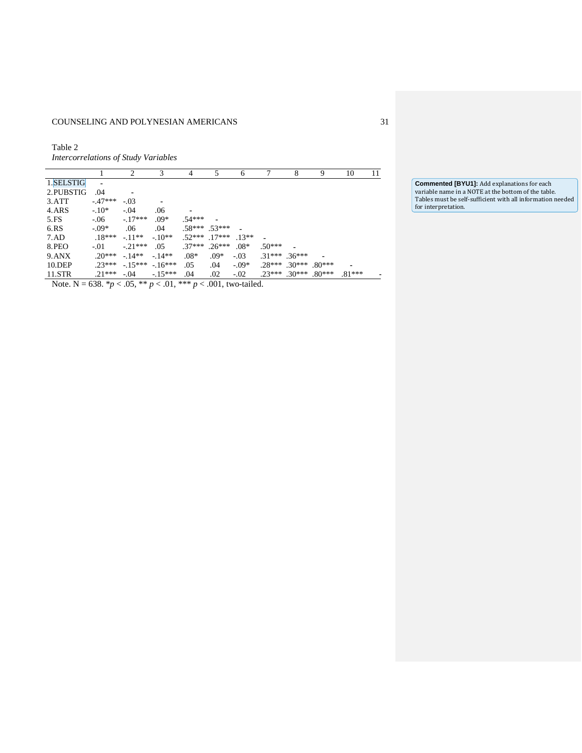Table 2 *Intercorrelations of Study Variables*

|           |               | 2                      | 3        | 4                  | 5                 | 6        |                   | 8                          | 9 | 10       | 11 |
|-----------|---------------|------------------------|----------|--------------------|-------------------|----------|-------------------|----------------------------|---|----------|----|
| 1.SELSTIG | ٠             |                        |          |                    |                   |          |                   |                            |   |          |    |
| 2.PUBSTIG | .04           | -                      |          |                    |                   |          |                   |                            |   |          |    |
| 3.7T      | $-47***$      | $-.03$                 |          |                    |                   |          |                   |                            |   |          |    |
| 4.ARS     | $-10*$        | $-.04$                 | .06      |                    |                   |          |                   |                            |   |          |    |
| 5.FS      | $-.06$        | $-.17***$              | $.09*$   | $.54***$           |                   |          |                   |                            |   |          |    |
| 6.RS      | $-.09*$       | .06                    | .04      |                    | $.58***$ $.53***$ |          |                   |                            |   |          |    |
| 7.AD      | $.18***$      | $-.11**$               | $-10**$  | $52***$ 17*** 13** |                   |          |                   |                            |   |          |    |
| 8.PEO     | $-.01$        | $-.21***$              | .05      | $.37***$ .26***    |                   | $.08*$   | $.50***$          |                            |   |          |    |
| 9.ANX     | $20*** -14**$ |                        | $-14**$  | $.08*$             | $.09*$            | $-.03$   | $.31***$ $.36***$ |                            |   |          |    |
| 10.DEP    |               | $.23***-.15***-.16***$ |          | .05                | .04               | $-0.09*$ |                   | $.28***$ $.30***$ $.80***$ |   |          |    |
| 11.5TR    | $.21***$      | $-.04$                 | $-15***$ | .04                | .02               | $-.02$   |                   | $.23***$ $.30***$ $.80***$ |   | $.81***$ |    |

Note. N = 638. \**p* < .05, \*\* *p* < .01, \*\*\* *p* < .001, two-tailed.

**Commented [BYU1]:** Add explanations for each variable name in a NOTE at the bottom of the table. Tables must be self-sufficient with all information needed for interpretation.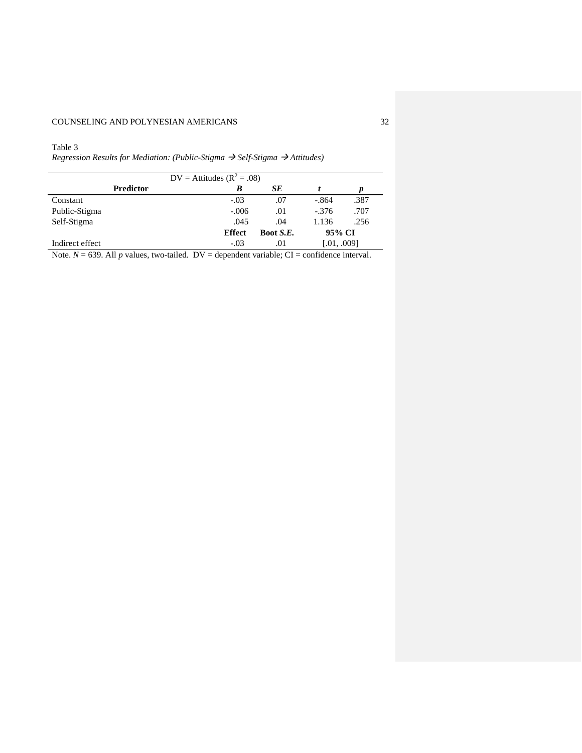## Table 3

*Regression Results for Mediation: (Public-Stigma Self-Stigma Attitudes)* 

| $DV =$ Attitudes ( $R^2 = .08$ )                                                                                                                                                                                                                                                                                                                                                                                             |           |               |           |             |      |  |  |  |
|------------------------------------------------------------------------------------------------------------------------------------------------------------------------------------------------------------------------------------------------------------------------------------------------------------------------------------------------------------------------------------------------------------------------------|-----------|---------------|-----------|-------------|------|--|--|--|
|                                                                                                                                                                                                                                                                                                                                                                                                                              | Predictor | В             | SЕ        |             |      |  |  |  |
| Constant                                                                                                                                                                                                                                                                                                                                                                                                                     |           | $-.03$        | .07       | $-.864$     | .387 |  |  |  |
| Public-Stigma                                                                                                                                                                                                                                                                                                                                                                                                                |           | $-.006$       | .01       | $-.376$     | .707 |  |  |  |
| Self-Stigma                                                                                                                                                                                                                                                                                                                                                                                                                  |           | .045          | .04       | 1.136       | .256 |  |  |  |
|                                                                                                                                                                                                                                                                                                                                                                                                                              |           | <b>Effect</b> | Boot S.E. | 95% CI      |      |  |  |  |
| Indirect effect                                                                                                                                                                                                                                                                                                                                                                                                              |           | $-.03$        | .01       | [.01, .009] |      |  |  |  |
| .<br>$\mathbf{a}$<br>$\bullet$ and the set of $\bullet$<br>$\mathbf{r}$ $\mathbf{r}$ $\mathbf{r}$ $\mathbf{r}$ $\mathbf{r}$ $\mathbf{r}$ $\mathbf{r}$ $\mathbf{r}$ $\mathbf{r}$ $\mathbf{r}$ $\mathbf{r}$ $\mathbf{r}$ $\mathbf{r}$ $\mathbf{r}$ $\mathbf{r}$ $\mathbf{r}$ $\mathbf{r}$ $\mathbf{r}$ $\mathbf{r}$ $\mathbf{r}$ $\mathbf{r}$ $\mathbf{r}$ $\mathbf{r}$ $\mathbf{r}$ $\mathbf{$<br>$\mathbf{r}$<br>.<br>$\sim$ |           |               |           |             |      |  |  |  |

Note.  $N = 639$ . All *p* values, two-tailed. DV = dependent variable; CI = confidence interval.